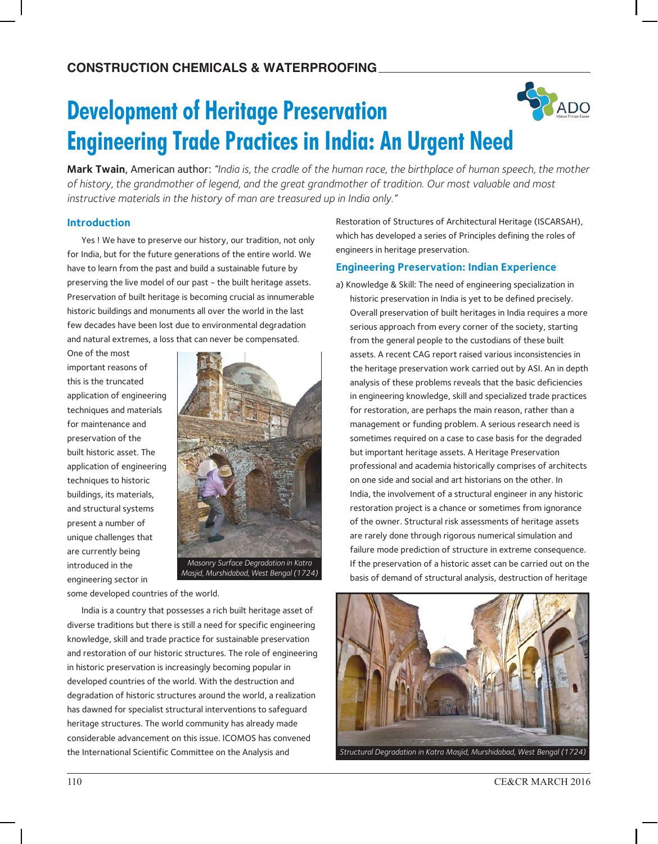# **Development of Heritage Preservation Engineering Trade Practices in India: An Urgent Need**

**Mark Twain**, American author: *"India is, the cradle of the human race, the birthplace of human speech, the mother of history, the grandmother of legend, and the great grandmother of tradition. Our most valuable and most instructive materials in the history of man are treasured up in India only."*

#### **Introduction**

Yes ! We have to preserve our history, our tradition, not only for India, but for the future generations of the entire world. We have to learn from the past and build a sustainable future by preserving the live model of our past - the built heritage assets. Preservation of built heritage is becoming crucial as innumerable historic buildings and monuments all over the world in the last few decades have been lost due to environmental degradation and natural extremes, a loss that can never be compensated.

One of the most important reasons of this is the truncated application of engineering techniques and materials for maintenance and preservation of the built historic asset. The application of engineering techniques to historic buildings, its materials, and structural systems present a number of unique challenges that are currently being introduced in the engineering sector in



some developed countries of the world.

India is a country that possesses a rich built heritage asset of diverse traditions but there is still a need for specific engineering knowledge, skill and trade practice for sustainable preservation and restoration of our historic structures. The role of engineering in historic preservation is increasingly becoming popular in developed countries of the world. With the destruction and degradation of historic structures around the world, a realization has dawned for specialist structural interventions to safeguard heritage structures. The world community has already made considerable advancement on this issue. ICOMOS has convened the International Scientific Committee on the Analysis and

Restoration of Structures of Architectural Heritage (ISCARSAH), which has developed a series of Principles defining the roles of engineers in heritage preservation.

RADO

#### **Engineering Preservation: Indian Experience**

a) Knowledge & Skill: The need of engineering specialization in historic preservation in India is yet to be defined precisely. Overall preservation of built heritages in India requires a more serious approach from every corner of the society, starting from the general people to the custodians of these built assets. A recent CAG report raised various inconsistencies in the heritage preservation work carried out by ASI. An in depth analysis of these problems reveals that the basic deficiencies in engineering knowledge, skill and specialized trade practices for restoration, are perhaps the main reason, rather than a management or funding problem. A serious research need is sometimes required on a case to case basis for the degraded but important heritage assets. A Heritage Preservation professional and academia historically comprises of architects on one side and social and art historians on the other. In India, the involvement of a structural engineer in any historic restoration project is a chance or sometimes from ignorance of the owner. Structural risk assessments of heritage assets are rarely done through rigorous numerical simulation and failure mode prediction of structure in extreme consequence. If the preservation of a historic asset can be carried out on the basis of demand of structural analysis, destruction of heritage

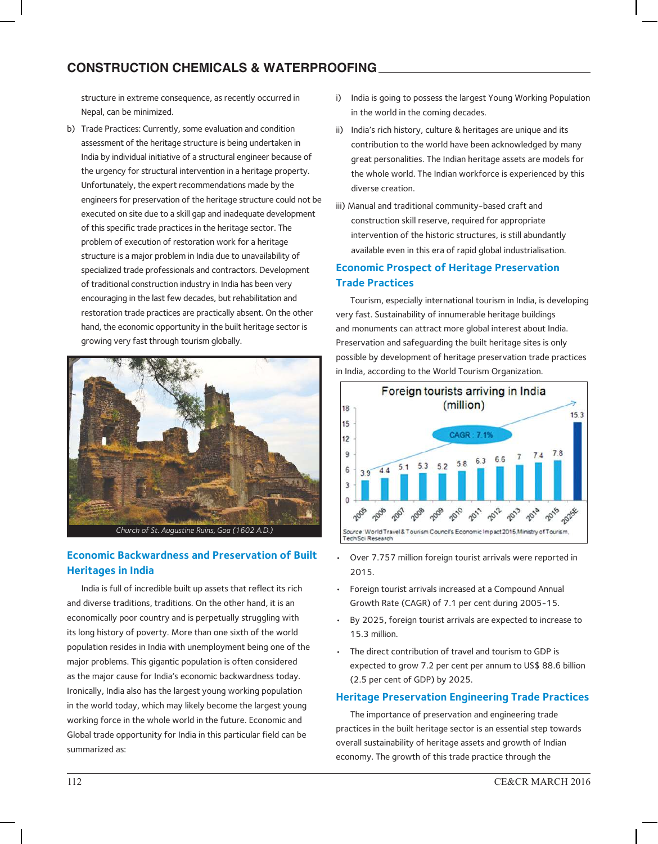# **ConstruCtion ChemiCals & Waterproofing**

structure in extreme consequence, as recently occurred in Nepal, can be minimized.

b) Trade Practices: Currently, some evaluation and condition assessment of the heritage structure is being undertaken in India by individual initiative of a structural engineer because of the urgency for structural intervention in a heritage property. Unfortunately, the expert recommendations made by the engineers for preservation of the heritage structure could not be executed on site due to a skill gap and inadequate development of this specific trade practices in the heritage sector. The problem of execution of restoration work for a heritage structure is a major problem in India due to unavailability of specialized trade professionals and contractors. Development of traditional construction industry in India has been very encouraging in the last few decades, but rehabilitation and restoration trade practices are practically absent. On the other hand, the economic opportunity in the built heritage sector is growing very fast through tourism globally.



## **Economic Backwardness and Preservation of Built Heritages in India**

India is full of incredible built up assets that reflect its rich and diverse traditions, traditions. On the other hand, it is an economically poor country and is perpetually struggling with its long history of poverty. More than one sixth of the world population resides in India with unemployment being one of the major problems. This gigantic population is often considered as the major cause for India's economic backwardness today. Ironically, India also has the largest young working population in the world today, which may likely become the largest young working force in the whole world in the future. Economic and Global trade opportunity for India in this particular field can be summarized as:

- i) India is going to possess the largest Young Working Population in the world in the coming decades.
- ii) India's rich history, culture & heritages are unique and its contribution to the world have been acknowledged by many great personalities. The Indian heritage assets are models for the whole world. The Indian workforce is experienced by this diverse creation.
- iii) Manual and traditional community-based craft and construction skill reserve, required for appropriate intervention of the historic structures, is still abundantly available even in this era of rapid global industrialisation.

### **Economic Prospect of Heritage Preservation Trade Practices**

Tourism, especially international tourism in India, is developing very fast. Sustainability of innumerable heritage buildings and monuments can attract more global interest about India. Preservation and safeguarding the built heritage sites is only possible by development of heritage preservation trade practices in India, according to the World Tourism Organization.



- Over 7.757 million foreign tourist arrivals were reported in 2015.
- Foreign tourist arrivals increased at a Compound Annual Growth Rate (CAGR) of 7.1 per cent during 2005-15.
- By 2025, foreign tourist arrivals are expected to increase to 15.3 million.
- The direct contribution of travel and tourism to GDP is expected to grow 7.2 per cent per annum to US\$ 88.6 billion (2.5 per cent of GDP) by 2025.

#### **Heritage Preservation Engineering Trade Practices**

The importance of preservation and engineering trade practices in the built heritage sector is an essential step towards overall sustainability of heritage assets and growth of Indian economy. The growth of this trade practice through the